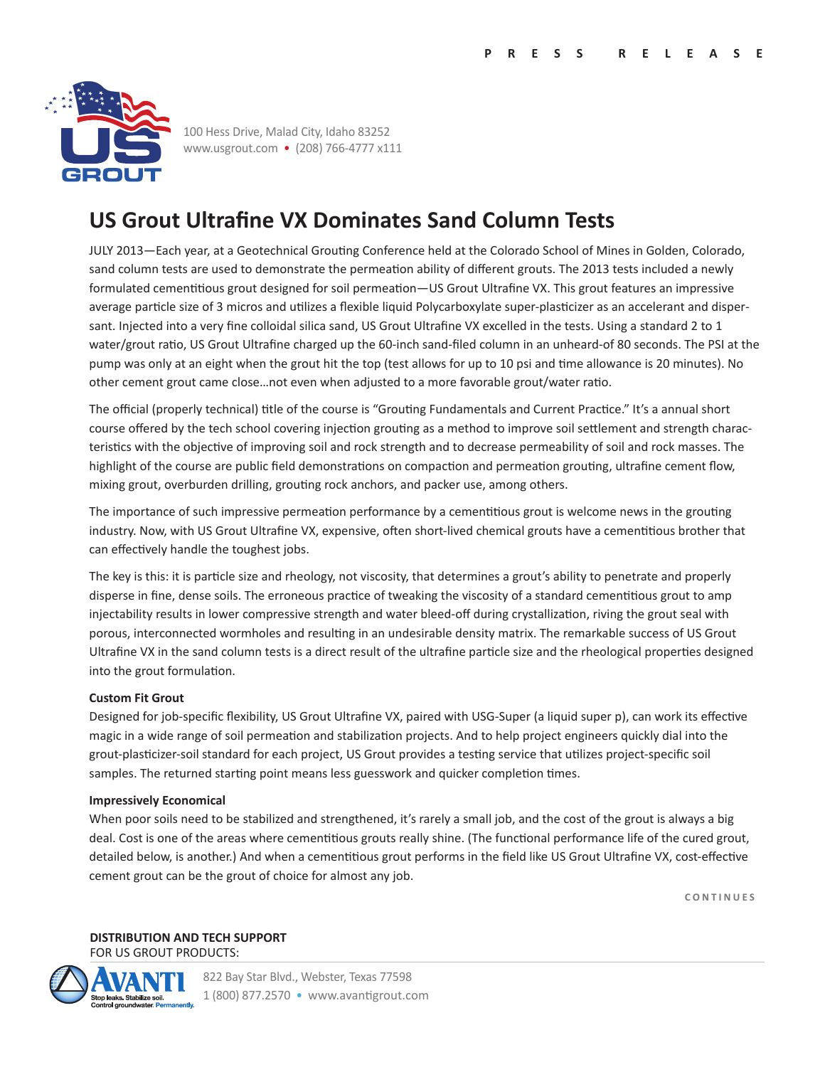

100 Hess Drive, Malad City, Idaho 83252 www.usgrout.com • (208) 766-4777 x111

# **US Grout Ultrafine VX Dominates Sand Column Tests**

JULY 2013—Each year, at a Geotechnical Grouting Conference held at the Colorado School of Mines in Golden, Colorado, sand column tests are used to demonstrate the permeation ability of different grouts. The 2013 tests included a newly formulated cementitious grout designed for soil permeation—US Grout Ultrafine VX. This grout features an impressive average particle size of 3 micros and utilizes a flexible liquid Polycarboxylate super-plasticizer as an accelerant and dispersant. Injected into a very fine colloidal silica sand, US Grout Ultrafine VX excelled in the tests. Using a standard 2 to 1 water/grout ratio, US Grout Ultrafine charged up the 60-inch sand-filed column in an unheard-of 80 seconds. The PSI at the pump was only at an eight when the grout hit the top (test allows for up to 10 psi and time allowance is 20 minutes). No other cement grout came close…not even when adjusted to a more favorable grout/water ratio.

The official (properly technical) title of the course is "Grouting Fundamentals and Current Practice." It's a annual short course offered by the tech school covering injection grouting as a method to improve soil settlement and strength characteristics with the objective of improving soil and rock strength and to decrease permeability of soil and rock masses. The highlight of the course are public field demonstrations on compaction and permeation grouting, ultrafine cement flow, mixing grout, overburden drilling, grouting rock anchors, and packer use, among others.

The importance of such impressive permeation performance by a cementitious grout is welcome news in the grouting industry. Now, with US Grout Ultrafine VX, expensive, often short-lived chemical grouts have a cementitious brother that can effectively handle the toughest jobs.

The key is this: it is particle size and rheology, not viscosity, that determines a grout's ability to penetrate and properly disperse in fine, dense soils. The erroneous practice of tweaking the viscosity of a standard cementitious grout to amp injectability results in lower compressive strength and water bleed-off during crystallization, riving the grout seal with porous, interconnected wormholes and resulting in an undesirable density matrix. The remarkable success of US Grout Ultrafine VX in the sand column tests is a direct result of the ultrafine particle size and the rheological properties designed into the grout formulation.

### **Custom Fit Grout**

Designed for job-specific flexibility, US Grout Ultrafine VX, paired with USG-Super (a liquid super p), can work its effective magic in a wide range of soil permeation and stabilization projects. And to help project engineers quickly dial into the grout-plasticizer-soil standard for each project, US Grout provides a testing service that utilizes project-specific soil samples. The returned starting point means less guesswork and quicker completion times.

#### **Impressively Economical**

When poor soils need to be stabilized and strengthened, it's rarely a small job, and the cost of the grout is always a big deal. Cost is one of the areas where cementitious grouts really shine. (The functional performance life of the cured grout, detailed below, is another.) And when a cementitious grout performs in the field like US Grout Ultrafine VX, cost-effective cement grout can be the grout of choice for almost any job.

**CONTINUES**

**DISTRIBUTION AND TECH SUPPORT**  FOR US GROUT PRODUCTS: